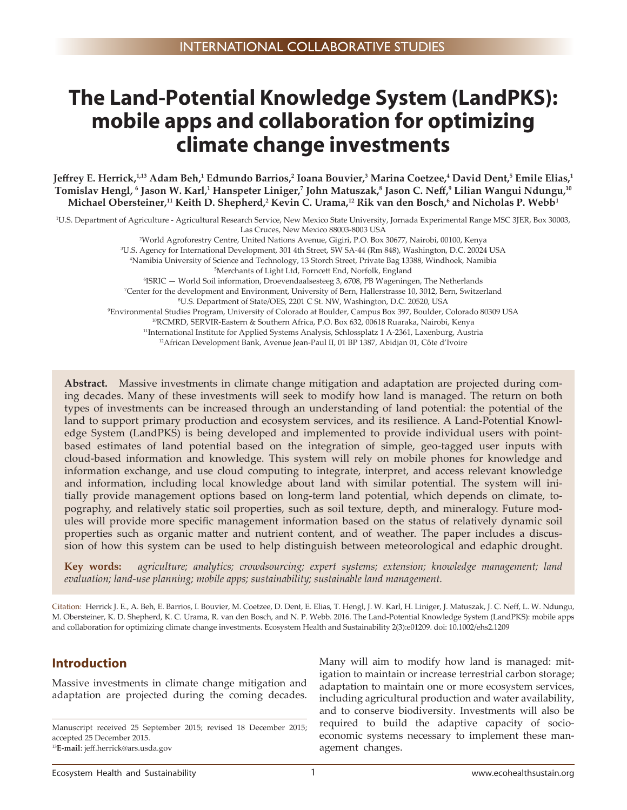# **The Land-Potential Knowledge System (LandPKS): mobile apps and collaboration for optimizing climate change investments**

**Jeffrey E. Herrick,1,13 Adam Beh,<sup>1</sup> Edmundo Barrios,<sup>2</sup> Ioana Bouvier,3 Marina Coetzee,<sup>4</sup> David Dent,<sup>5</sup> Emile Elias,<sup>1</sup> Tomislav Hengl, <sup>6</sup> Jason W. Karl,<sup>1</sup> Hanspeter Liniger,<sup>7</sup> John Matuszak,<sup>8</sup> Jason C. Neff,<sup>9</sup> Lilian Wangui Ndungu,<sup>10</sup> Michael Obersteiner,<sup>11</sup> Keith D. Shepherd,<sup>2</sup> Kevin C. Urama,<sup>12</sup> Rik van den Bosch,<sup>6</sup> and Nicholas P. Webb<sup>1</sup>**

1 U.S. Department of Agriculture - Agricultural Research Service, New Mexico State University, Jornada Experimental Range MSC 3JER, Box 30003, Las Cruces, New Mexico 88003-8003 USA

2 World Agroforestry Centre, United Nations Avenue, Gigiri, P.O. Box 30677, Nairobi, 00100, Kenya

3 U.S. Agency for International Development, 301 4th Street, SW SA-44 (Rm 848), Washington, D.C. 20024 USA

4 Namibia University of Science and Technology, 13 Storch Street, Private Bag 13388, Windhoek, Namibia

5 Merchants of Light Ltd, Forncett End, Norfolk, England

6 ISRIC — World Soil information, Droevendaalsesteeg 3, 6708, PB Wageningen, The Netherlands

7 Center for the development and Environment, University of Bern, Hallerstrasse 10, 3012, Bern, Switzerland 8 U.S. Department of State/OES, 2201 C St. NW, Washington, D.C. 20520, USA

9 Environmental Studies Program, University of Colorado at Boulder, Campus Box 397, Boulder, Colorado 80309 USA

10RCMRD, SERVIR-Eastern & Southern Africa, P.O. Box 632, 00618 Ruaraka, Nairobi, Kenya

11International Institute for Applied Systems Analysis, Schlossplatz 1 A-2361, Laxenburg, Austria

<sup>12</sup>African Development Bank, Avenue Jean-Paul II, 01 BP 1387, Abidjan 01, Côte d'Ivoire

**Abstract.** Massive investments in climate change mitigation and adaptation are projected during coming decades. Many of these investments will seek to modify how land is managed. The return on both types of investments can be increased through an understanding of land potential: the potential of the land to support primary production and ecosystem services, and its resilience. A Land-Potential Knowledge System (LandPKS) is being developed and implemented to provide individual users with pointbased estimates of land potential based on the integration of simple, geo-tagged user inputs with cloud-based information and knowledge. This system will rely on mobile phones for knowledge and information exchange, and use cloud computing to integrate, interpret, and access relevant knowledge and information, including local knowledge about land with similar potential. The system will initially provide management options based on long-term land potential, which depends on climate, topography, and relatively static soil properties, such as soil texture, depth, and mineralogy. Future modules will provide more specific management information based on the status of relatively dynamic soil properties such as organic matter and nutrient content, and of weather. The paper includes a discussion of how this system can be used to help distinguish between meteorological and edaphic drought.

**Key words:** *agriculture; analytics; crowdsourcing; expert systems; extension; knowledge management; land evaluation; land-use planning; mobile apps; sustainability; sustainable land management.*

Citation: Herrick J. E., A. Beh, E. Barrios, I. Bouvier, M. Coetzee, D. Dent, E. Elias, T. Hengl, J. W. Karl, H. Liniger, J. Matuszak, J. C. Neff, L. W. Ndungu, M. Obersteiner, K. D. Shepherd, K. C. Urama, R. van den Bosch, and N. P. Webb. 2016. The Land-Potential Knowledge System (LandPKS): mobile apps and collaboration for optimizing climate change investments. Ecosystem Health and Sustainability 2(3):e01209. doi: 10.1002/ehs2.1209

# **Introduction**

Massive investments in climate change mitigation and adaptation are projected during the coming decades.

Manuscript received 25 September 2015; revised 18 December 2015; accepted 25 December 2015. <sup>13</sup>**E-mail**: [jeff.herrick@ars.usda.gov](mailto:jeff.herrick@ars.usda.gov)

Many will aim to modify how land is managed: mitigation to maintain or increase terrestrial carbon storage; adaptation to maintain one or more ecosystem services, including agricultural production and water availability, and to conserve biodiversity. Investments will also be required to build the adaptive capacity of socioeconomic systems necessary to implement these management changes.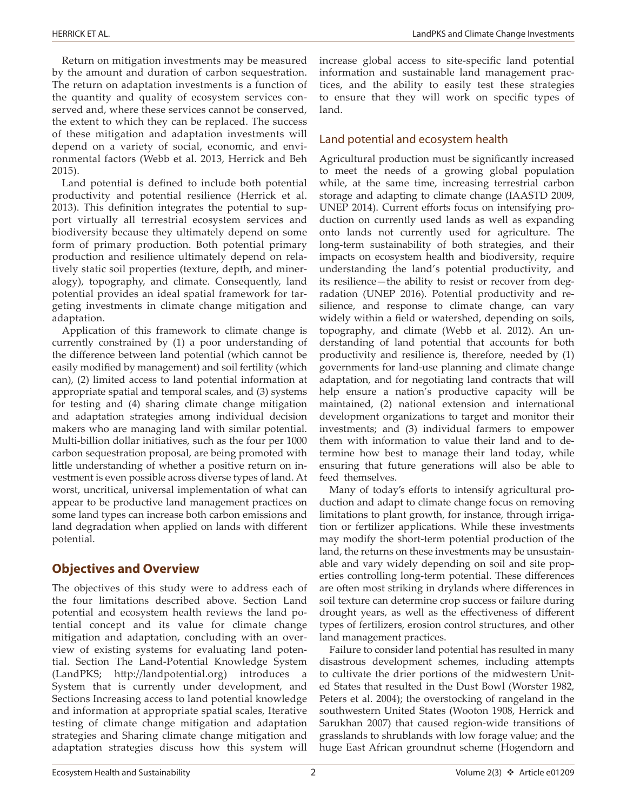Return on mitigation investments may be measured by the amount and duration of carbon sequestration. The return on adaptation investments is a function of the quantity and quality of ecosystem services conserved and, where these services cannot be conserved, the extent to which they can be replaced. The success of these mitigation and adaptation investments will depend on a variety of social, economic, and environmental factors (Webb et al. 2013, Herrick and Beh 2015).

Land potential is defined to include both potential productivity and potential resilience (Herrick et al. 2013). This definition integrates the potential to support virtually all terrestrial ecosystem services and biodiversity because they ultimately depend on some form of primary production. Both potential primary production and resilience ultimately depend on relatively static soil properties (texture, depth, and mineralogy), topography, and climate. Consequently, land potential provides an ideal spatial framework for targeting investments in climate change mitigation and adaptation.

Application of this framework to climate change is currently constrained by (1) a poor understanding of the difference between land potential (which cannot be easily modified by management) and soil fertility (which can), (2) limited access to land potential information at appropriate spatial and temporal scales, and (3) systems for testing and (4) sharing climate change mitigation and adaptation strategies among individual decision makers who are managing land with similar potential. Multi-billion dollar initiatives, such as the four per 1000 carbon sequestration proposal, are being promoted with little understanding of whether a positive return on investment is even possible across diverse types of land. At worst, uncritical, universal implementation of what can appear to be productive land management practices on some land types can increase both carbon emissions and land degradation when applied on lands with different potential.

# **Objectives and Overview**

The objectives of this study were to address each of the four limitations described above. Section Land potential and ecosystem health reviews the land potential concept and its value for climate change mitigation and adaptation, concluding with an overview of existing systems for evaluating land potential. Section The Land-Potential Knowledge System (LandPKS; [http://landpotential.org\)](http://landpotential.org) introduces a System that is currently under development, and Sections Increasing access to land potential knowledge and information at appropriate spatial scales, Iterative testing of climate change mitigation and adaptation strategies and Sharing climate change mitigation and adaptation strategies discuss how this system will increase global access to site-specific land potential information and sustainable land management practices, and the ability to easily test these strategies to ensure that they will work on specific types of land.

# Land potential and ecosystem health

Agricultural production must be significantly increased to meet the needs of a growing global population while, at the same time, increasing terrestrial carbon storage and adapting to climate change (IAASTD 2009, UNEP 2014). Current efforts focus on intensifying production on currently used lands as well as expanding onto lands not currently used for agriculture. The long-term sustainability of both strategies, and their impacts on ecosystem health and biodiversity, require understanding the land's potential productivity, and its resilience—the ability to resist or recover from degradation (UNEP 2016). Potential productivity and resilience, and response to climate change, can vary widely within a field or watershed, depending on soils, topography, and climate (Webb et al. 2012). An understanding of land potential that accounts for both productivity and resilience is, therefore, needed by (1) governments for land-use planning and climate change adaptation, and for negotiating land contracts that will help ensure a nation's productive capacity will be maintained, (2) national extension and international development organizations to target and monitor their investments; and (3) individual farmers to empower them with information to value their land and to determine how best to manage their land today, while ensuring that future generations will also be able to feed themselves.

Many of today's efforts to intensify agricultural production and adapt to climate change focus on removing limitations to plant growth, for instance, through irrigation or fertilizer applications. While these investments may modify the short-term potential production of the land, the returns on these investments may be unsustainable and vary widely depending on soil and site properties controlling long-term potential. These differences are often most striking in drylands where differences in soil texture can determine crop success or failure during drought years, as well as the effectiveness of different types of fertilizers, erosion control structures, and other land management practices.

Failure to consider land potential has resulted in many disastrous development schemes, including attempts to cultivate the drier portions of the midwestern United States that resulted in the Dust Bowl (Worster 1982, Peters et al. 2004); the overstocking of rangeland in the southwestern United States (Wooton 1908, Herrick and Sarukhan 2007) that caused region-wide transitions of grasslands to shrublands with low forage value; and the huge East African groundnut scheme (Hogendorn and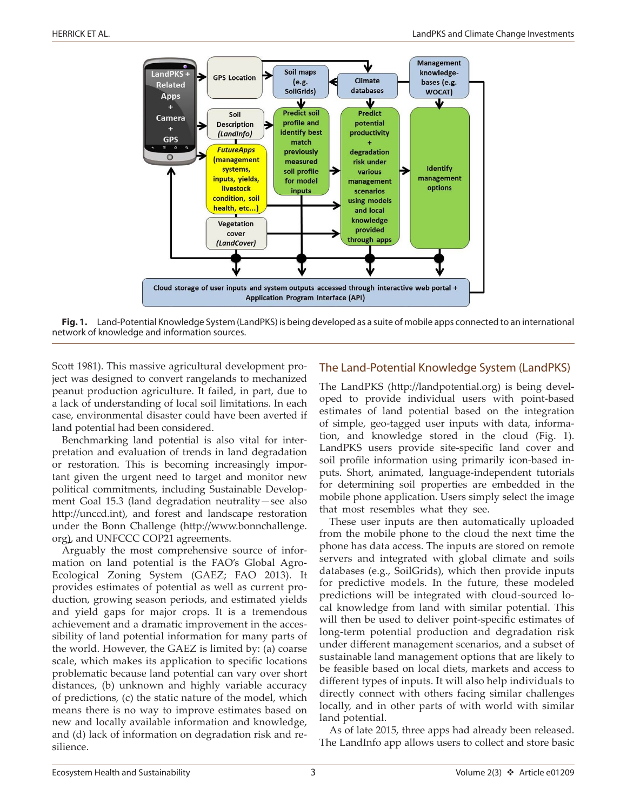

**Fig. 1.** Land-Potential Knowledge System (LandPKS) is being developed as a suite of mobile apps connected to an international network of knowledge and information sources.

Scott 1981). This massive agricultural development project was designed to convert rangelands to mechanized peanut production agriculture. It failed, in part, due to a lack of understanding of local soil limitations. In each case, environmental disaster could have been averted if land potential had been considered.

Benchmarking land potential is also vital for interpretation and evaluation of trends in land degradation or restoration. This is becoming increasingly important given the urgent need to target and monitor new political commitments, including Sustainable Development Goal 15.3 (land degradation neutrality—see also <http://unccd.int>), and forest and landscape restoration under the Bonn Challenge [\(http://www.bonnchallenge.](http://www.bonnchallenge.org) [org](http://www.bonnchallenge.org)), and UNFCCC COP21 agreements.

Arguably the most comprehensive source of information on land potential is the FAO's Global Agro-Ecological Zoning System (GAEZ; FAO 2013). It provides estimates of potential as well as current production, growing season periods, and estimated yields and yield gaps for major crops. It is a tremendous achievement and a dramatic improvement in the accessibility of land potential information for many parts of the world. However, the GAEZ is limited by: (a) coarse scale, which makes its application to specific locations problematic because land potential can vary over short distances, (b) unknown and highly variable accuracy of predictions, (c) the static nature of the model, which means there is no way to improve estimates based on new and locally available information and knowledge, and (d) lack of information on degradation risk and resilience.

#### The Land-Potential Knowledge System (LandPKS)

The LandPKS [\(http://landpotential.org\)](http://landpotential.org) is being developed to provide individual users with point-based estimates of land potential based on the integration of simple, geo-tagged user inputs with data, information, and knowledge stored in the cloud (Fig. 1). LandPKS users provide site-specific land cover and soil profile information using primarily icon-based inputs. Short, animated, language-independent tutorials for determining soil properties are embedded in the mobile phone application. Users simply select the image that most resembles what they see.

These user inputs are then automatically uploaded from the mobile phone to the cloud the next time the phone has data access. The inputs are stored on remote servers and integrated with global climate and soils databases (e.g., SoilGrids), which then provide inputs for predictive models. In the future, these modeled predictions will be integrated with cloud-sourced local knowledge from land with similar potential. This will then be used to deliver point-specific estimates of long-term potential production and degradation risk under different management scenarios, and a subset of sustainable land management options that are likely to be feasible based on local diets, markets and access to different types of inputs. It will also help individuals to directly connect with others facing similar challenges locally, and in other parts of with world with similar land potential.

As of late 2015, three apps had already been released. The LandInfo app allows users to collect and store basic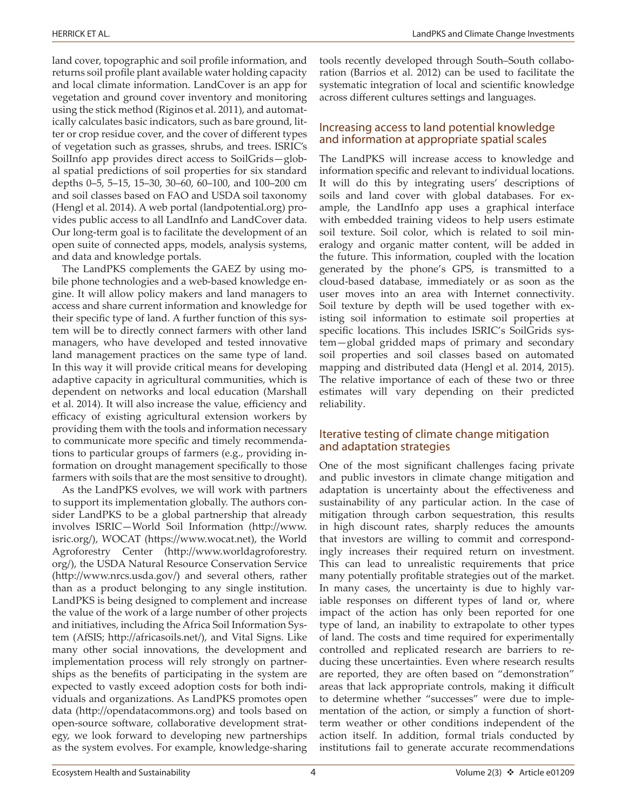land cover, topographic and soil profile information, and returns soil profile plant available water holding capacity and local climate information. LandCover is an app for vegetation and ground cover inventory and monitoring using the stick method (Riginos et al. 2011), and automatically calculates basic indicators, such as bare ground, litter or crop residue cover, and the cover of different types of vegetation such as grasses, shrubs, and trees. ISRIC's SoilInfo app provides direct access to SoilGrids—global spatial predictions of soil properties for six standard depths 0–5, 5–15, 15–30, 30–60, 60–100, and 100–200 cm and soil classes based on FAO and USDA soil taxonomy (Hengl et al. 2014). A web portal (landpotential.org) provides public access to all LandInfo and LandCover data. Our long-term goal is to facilitate the development of an open suite of connected apps, models, analysis systems, and data and knowledge portals.

The LandPKS complements the GAEZ by using mobile phone technologies and a web-based knowledge engine. It will allow policy makers and land managers to access and share current information and knowledge for their specific type of land. A further function of this system will be to directly connect farmers with other land managers, who have developed and tested innovative land management practices on the same type of land. In this way it will provide critical means for developing adaptive capacity in agricultural communities, which is dependent on networks and local education (Marshall et al. 2014). It will also increase the value, efficiency and efficacy of existing agricultural extension workers by providing them with the tools and information necessary to communicate more specific and timely recommendations to particular groups of farmers (e.g., providing information on drought management specifically to those farmers with soils that are the most sensitive to drought).

As the LandPKS evolves, we will work with partners to support its implementation globally. The authors consider LandPKS to be a global partnership that already involves ISRIC—World Soil Information [\(http://www.](http://www.isric.org/) [isric.org/](http://www.isric.org/)), WOCAT (<https://www.wocat.net>), the World Agroforestry Center ([http://www.worldagroforestry.](http://www.worldagroforestry.org/) [org/](http://www.worldagroforestry.org/)), the USDA Natural Resource Conservation Service [\(http://www.nrcs.usda.gov/](http://www.nrcs.usda.gov/)) and several others, rather than as a product belonging to any single institution. LandPKS is being designed to complement and increase the value of the work of a large number of other projects and initiatives, including the Africa Soil Information System (AfSIS; <http://africasoils.net/>), and Vital Signs. Like many other social innovations, the development and implementation process will rely strongly on partnerships as the benefits of participating in the system are expected to vastly exceed adoption costs for both individuals and organizations. As LandPKS promotes open data [\(http://opendatacommons.org](http://opendatacommons.org)) and tools based on open-source software, collaborative development strategy, we look forward to developing new partnerships as the system evolves. For example, knowledge-sharing

tools recently developed through South–South collaboration (Barrios et al. 2012) can be used to facilitate the systematic integration of local and scientific knowledge across different cultures settings and languages.

#### Increasing access to land potential knowledge and information at appropriate spatial scales

The LandPKS will increase access to knowledge and information specific and relevant to individual locations. It will do this by integrating users' descriptions of soils and land cover with global databases. For example, the LandInfo app uses a graphical interface with embedded training videos to help users estimate soil texture. Soil color, which is related to soil mineralogy and organic matter content, will be added in the future. This information, coupled with the location generated by the phone's GPS, is transmitted to a cloud-based database, immediately or as soon as the user moves into an area with Internet connectivity. Soil texture by depth will be used together with existing soil information to estimate soil properties at specific locations. This includes ISRIC's SoilGrids system—global gridded maps of primary and secondary soil properties and soil classes based on automated mapping and distributed data (Hengl et al. 2014, 2015). The relative importance of each of these two or three estimates will vary depending on their predicted reliability.

#### Iterative testing of climate change mitigation and adaptation strategies

One of the most significant challenges facing private and public investors in climate change mitigation and adaptation is uncertainty about the effectiveness and sustainability of any particular action. In the case of mitigation through carbon sequestration, this results in high discount rates, sharply reduces the amounts that investors are willing to commit and correspondingly increases their required return on investment. This can lead to unrealistic requirements that price many potentially profitable strategies out of the market. In many cases, the uncertainty is due to highly variable responses on different types of land or, where impact of the action has only been reported for one type of land, an inability to extrapolate to other types of land. The costs and time required for experimentally controlled and replicated research are barriers to reducing these uncertainties. Even where research results are reported, they are often based on "demonstration" areas that lack appropriate controls, making it difficult to determine whether "successes" were due to implementation of the action, or simply a function of shortterm weather or other conditions independent of the action itself. In addition, formal trials conducted by institutions fail to generate accurate recommendations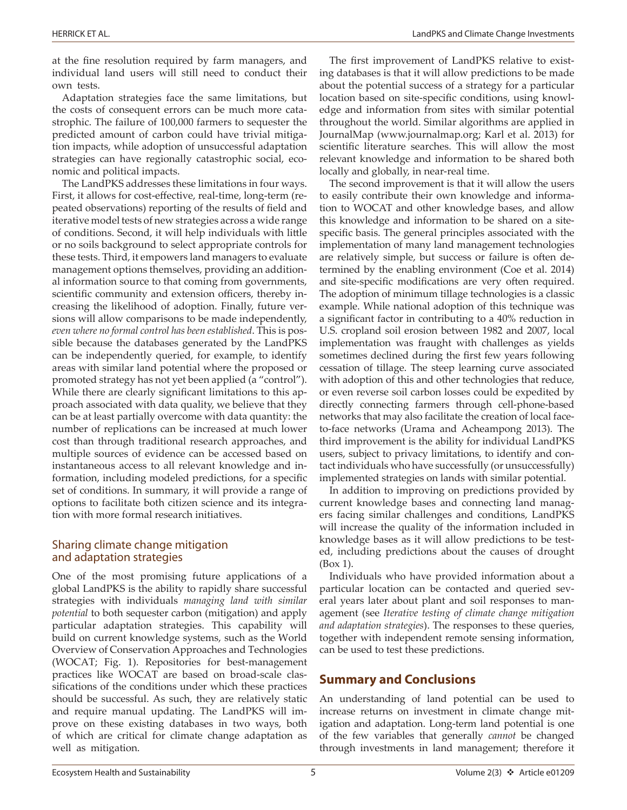at the fine resolution required by farm managers, and individual land users will still need to conduct their own tests.

Adaptation strategies face the same limitations, but the costs of consequent errors can be much more catastrophic. The failure of 100,000 farmers to sequester the predicted amount of carbon could have trivial mitigation impacts, while adoption of unsuccessful adaptation strategies can have regionally catastrophic social, economic and political impacts.

The LandPKS addresses these limitations in four ways. First, it allows for cost-effective, real-time, long-term (repeated observations) reporting of the results of field and iterative model tests of new strategies across a wide range of conditions. Second, it will help individuals with little or no soils background to select appropriate controls for these tests. Third, it empowers land managers to evaluate management options themselves, providing an additional information source to that coming from governments, scientific community and extension officers, thereby increasing the likelihood of adoption. Finally, future versions will allow comparisons to be made independently, *even where no formal control has been established*. This is possible because the databases generated by the LandPKS can be independently queried, for example, to identify areas with similar land potential where the proposed or promoted strategy has not yet been applied (a "control"). While there are clearly significant limitations to this approach associated with data quality, we believe that they can be at least partially overcome with data quantity: the number of replications can be increased at much lower cost than through traditional research approaches, and multiple sources of evidence can be accessed based on instantaneous access to all relevant knowledge and information, including modeled predictions, for a specific set of conditions. In summary, it will provide a range of options to facilitate both citizen science and its integration with more formal research initiatives.

#### Sharing climate change mitigation and adaptation strategies

One of the most promising future applications of a global LandPKS is the ability to rapidly share successful strategies with individuals *managing land with similar potential* to both sequester carbon (mitigation) and apply particular adaptation strategies. This capability will build on current knowledge systems, such as the World Overview of Conservation Approaches and Technologies (WOCAT; Fig. 1). Repositories for best-management practices like WOCAT are based on broad-scale classifications of the conditions under which these practices should be successful. As such, they are relatively static and require manual updating. The LandPKS will improve on these existing databases in two ways, both of which are critical for climate change adaptation as well as mitigation.

The first improvement of LandPKS relative to existing databases is that it will allow predictions to be made about the potential success of a strategy for a particular location based on site-specific conditions, using knowledge and information from sites with similar potential throughout the world. Similar algorithms are applied in JournalMap ([www.journalmap.org](http://www.journalmap.org); Karl et al. 2013) for scientific literature searches. This will allow the most relevant knowledge and information to be shared both locally and globally, in near-real time.

The second improvement is that it will allow the users to easily contribute their own knowledge and information to WOCAT and other knowledge bases, and allow this knowledge and information to be shared on a sitespecific basis. The general principles associated with the implementation of many land management technologies are relatively simple, but success or failure is often determined by the enabling environment (Coe et al. 2014) and site-specific modifications are very often required. The adoption of minimum tillage technologies is a classic example. While national adoption of this technique was a significant factor in contributing to a 40% reduction in U.S. cropland soil erosion between 1982 and 2007, local implementation was fraught with challenges as yields sometimes declined during the first few years following cessation of tillage. The steep learning curve associated with adoption of this and other technologies that reduce, or even reverse soil carbon losses could be expedited by directly connecting farmers through cell-phone-based networks that may also facilitate the creation of local faceto-face networks (Urama and Acheampong 2013). The third improvement is the ability for individual LandPKS users, subject to privacy limitations, to identify and contact individuals who have successfully (or unsuccessfully) implemented strategies on lands with similar potential.

In addition to improving on predictions provided by current knowledge bases and connecting land managers facing similar challenges and conditions, LandPKS will increase the quality of the information included in knowledge bases as it will allow predictions to be tested, including predictions about the causes of drought (Box 1).

Individuals who have provided information about a particular location can be contacted and queried several years later about plant and soil responses to management (see *Iterative testing of climate change mitigation and adaptation strategies*). The responses to these queries, together with independent remote sensing information, can be used to test these predictions.

# **Summary and Conclusions**

An understanding of land potential can be used to increase returns on investment in climate change mitigation and adaptation. Long-term land potential is one of the few variables that generally *cannot* be changed through investments in land management; therefore it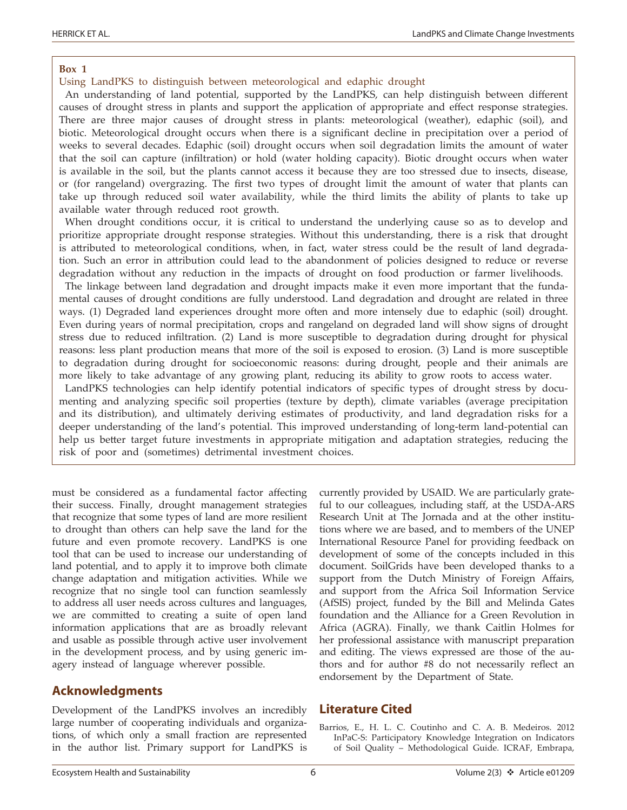#### **Box 1**

#### Using LandPKS to distinguish between meteorological and edaphic drought

An understanding of land potential, supported by the LandPKS, can help distinguish between different causes of drought stress in plants and support the application of appropriate and effect response strategies. There are three major causes of drought stress in plants: meteorological (weather), edaphic (soil), and biotic. Meteorological drought occurs when there is a significant decline in precipitation over a period of weeks to several decades. Edaphic (soil) drought occurs when soil degradation limits the amount of water that the soil can capture (infiltration) or hold (water holding capacity). Biotic drought occurs when water is available in the soil, but the plants cannot access it because they are too stressed due to insects, disease, or (for rangeland) overgrazing. The first two types of drought limit the amount of water that plants can take up through reduced soil water availability, while the third limits the ability of plants to take up available water through reduced root growth.

When drought conditions occur, it is critical to understand the underlying cause so as to develop and prioritize appropriate drought response strategies. Without this understanding, there is a risk that drought is attributed to meteorological conditions, when, in fact, water stress could be the result of land degradation. Such an error in attribution could lead to the abandonment of policies designed to reduce or reverse degradation without any reduction in the impacts of drought on food production or farmer livelihoods.

The linkage between land degradation and drought impacts make it even more important that the fundamental causes of drought conditions are fully understood. Land degradation and drought are related in three ways. (1) Degraded land experiences drought more often and more intensely due to edaphic (soil) drought. Even during years of normal precipitation, crops and rangeland on degraded land will show signs of drought stress due to reduced infiltration. (2) Land is more susceptible to degradation during drought for physical reasons: less plant production means that more of the soil is exposed to erosion. (3) Land is more susceptible to degradation during drought for socioeconomic reasons: during drought, people and their animals are more likely to take advantage of any growing plant, reducing its ability to grow roots to access water.

LandPKS technologies can help identify potential indicators of specific types of drought stress by documenting and analyzing specific soil properties (texture by depth), climate variables (average precipitation and its distribution), and ultimately deriving estimates of productivity, and land degradation risks for a deeper understanding of the land's potential. This improved understanding of long-term land-potential can help us better target future investments in appropriate mitigation and adaptation strategies, reducing the risk of poor and (sometimes) detrimental investment choices.

must be considered as a fundamental factor affecting their success. Finally, drought management strategies that recognize that some types of land are more resilient to drought than others can help save the land for the future and even promote recovery. LandPKS is one tool that can be used to increase our understanding of land potential, and to apply it to improve both climate change adaptation and mitigation activities. While we recognize that no single tool can function seamlessly to address all user needs across cultures and languages, we are committed to creating a suite of open land information applications that are as broadly relevant and usable as possible through active user involvement in the development process, and by using generic imagery instead of language wherever possible.

# **Acknowledgments**

Development of the LandPKS involves an incredibly large number of cooperating individuals and organizations, of which only a small fraction are represented in the author list. Primary support for LandPKS is currently provided by USAID. We are particularly grateful to our colleagues, including staff, at the USDA-ARS Research Unit at The Jornada and at the other institutions where we are based, and to members of the UNEP International Resource Panel for providing feedback on development of some of the concepts included in this document. SoilGrids have been developed thanks to a support from the Dutch Ministry of Foreign Affairs, and support from the Africa Soil Information Service (AfSIS) project, funded by the Bill and Melinda Gates foundation and the Alliance for a Green Revolution in Africa (AGRA). Finally, we thank Caitlin Holmes for her professional assistance with manuscript preparation and editing. The views expressed are those of the authors and for author #8 do not necessarily reflect an endorsement by the Department of State.

# **Literature Cited**

Barrios, E., H. L. C. Coutinho and C. A. B. Medeiros. 2012 InPaC-S: Participatory Knowledge Integration on Indicators of Soil Quality – Methodological Guide. ICRAF, Embrapa,